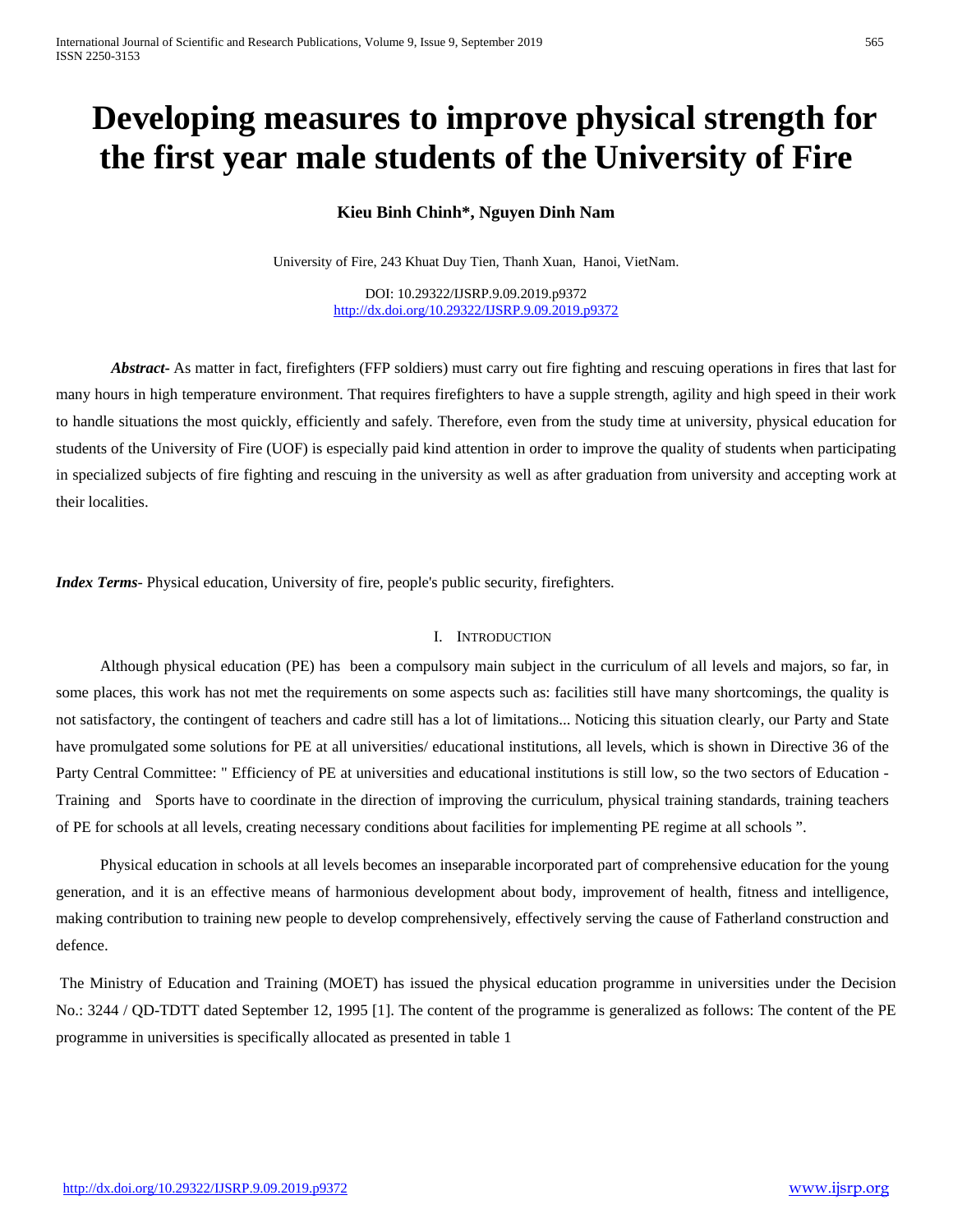# **Developing measures to improve physical strength for the first year male students of the University of Fire**

# **Kieu Binh Chinh\*, Nguyen Dinh Nam**

University of Fire, 243 Khuat Duy Tien, Thanh Xuan, Hanoi, VietNam.

DOI: 10.29322/IJSRP.9.09.2019.p9372 <http://dx.doi.org/10.29322/IJSRP.9.09.2019.p9372>

*Abstract***-** As matter in fact, firefighters (FFP soldiers) must carry out fire fighting and rescuing operations in fires that last for many hours in high temperature environment. That requires firefighters to have a supple strength, agility and high speed in their work to handle situations the most quickly, efficiently and safely. Therefore, even from the study time at university, physical education for students of the University of Fire (UOF) is especially paid kind attention in order to improve the quality of students when participating in specialized subjects of fire fighting and rescuing in the university as well as after graduation from university and accepting work at their localities.

*Index Terms*- Physical education, University of fire, people's public security, firefighters.

#### I. INTRODUCTION

Although physical education (PE) has been a compulsory main subject in the curriculum of all levels and majors, so far, in some places, this work has not met the requirements on some aspects such as: facilities still have many shortcomings, the quality is not satisfactory, the contingent of teachers and cadre still has a lot of limitations... Noticing this situation clearly, our Party and State have promulgated some solutions for PE at all universities/ educational institutions, all levels, which is shown in Directive 36 of the Party Central Committee: " Efficiency of PE at universities and educational institutions is still low, so the two sectors of Education - Training and Sports have to coordinate in the direction of improving the curriculum, physical training standards, training teachers of PE for schools at all levels, creating necessary conditions about facilities for implementing PE regime at all schools ".

Physical education in schools at all levels becomes an inseparable incorporated part of comprehensive education for the young generation, and it is an effective means of harmonious development about body, improvement of health, fitness and intelligence, making contribution to training new people to develop comprehensively, effectively serving the cause of Fatherland construction and defence.

The Ministry of Education and Training (MOET) has issued the physical education programme in universities under the Decision No.: 3244 / QD-TDTT dated September 12, 1995 [1]. The content of the programme is generalized as follows: The content of the PE programme in universities is specifically allocated as presented in table 1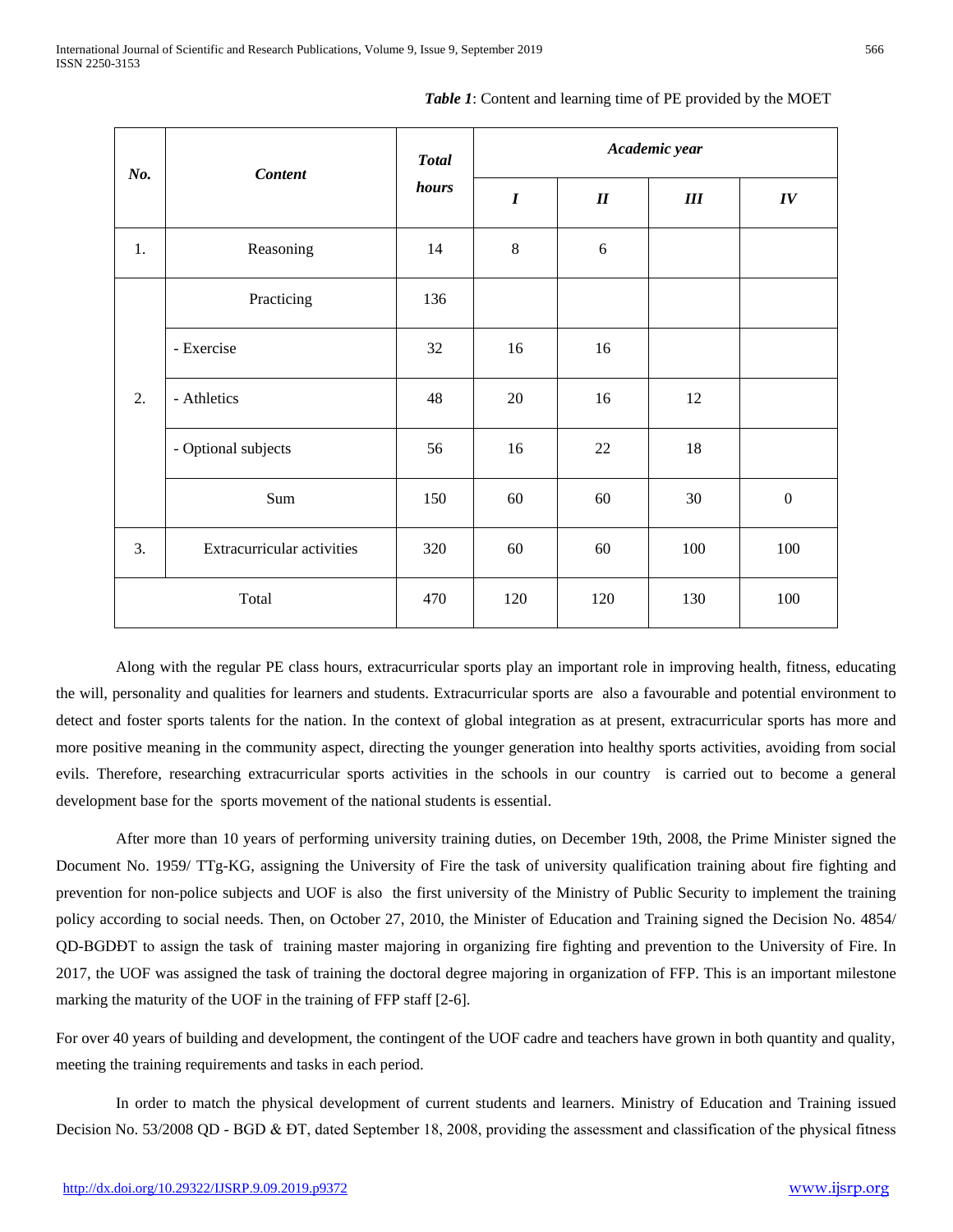| No.   | <b>Content</b>             | <b>Total</b><br>hours | Academic year    |        |     |                  |
|-------|----------------------------|-----------------------|------------------|--------|-----|------------------|
|       |                            |                       | $\boldsymbol{I}$ | $I\!I$ | III | IV               |
| 1.    | Reasoning                  | 14                    | $\,8\,$          | 6      |     |                  |
| 2.    | Practicing                 | 136                   |                  |        |     |                  |
|       | - Exercise                 | 32                    | 16               | 16     |     |                  |
|       | - Athletics                | 48                    | 20               | 16     | 12  |                  |
|       | - Optional subjects        | 56                    | 16               | 22     | 18  |                  |
|       | Sum                        | 150                   | 60               | 60     | 30  | $\boldsymbol{0}$ |
| 3.    | Extracurricular activities | 320                   | 60               | 60     | 100 | 100              |
| Total |                            | 470                   | 120              | 120    | 130 | 100              |

*Table 1*: Content and learning time of PE provided by the MOET

Along with the regular PE class hours, extracurricular sports play an important role in improving health, fitness, educating the will, personality and qualities for learners and students. Extracurricular sports are also a favourable and potential environment to detect and foster sports talents for the nation. In the context of global integration as at present, extracurricular sports has more and more positive meaning in the community aspect, directing the younger generation into healthy sports activities, avoiding from social evils. Therefore, researching extracurricular sports activities in the schools in our country is carried out to become a general development base for the sports movement of the national students is essential.

After more than 10 years of performing university training duties, on December 19th, 2008, the Prime Minister signed the Document No. 1959/ TTg-KG, assigning the University of Fire the task of university qualification training about fire fighting and prevention for non-police subjects and UOF is also the first university of the Ministry of Public Security to implement the training policy according to social needs. Then, on October 27, 2010, the Minister of Education and Training signed the Decision No. 4854/ QD-BGDĐT to assign the task of training master majoring in organizing fire fighting and prevention to the University of Fire. In 2017, the UOF was assigned the task of training the doctoral degree majoring in organization of FFP. This is an important milestone marking the maturity of the UOF in the training of FFP staff [2-6].

For over 40 years of building and development, the contingent of the UOF cadre and teachers have grown in both quantity and quality, meeting the training requirements and tasks in each period.

In order to match the physical development of current students and learners. Ministry of Education and Training issued Decision No. 53/2008 QD - BGD & ĐT, dated September 18, 2008, providing the assessment and classification of the physical fitness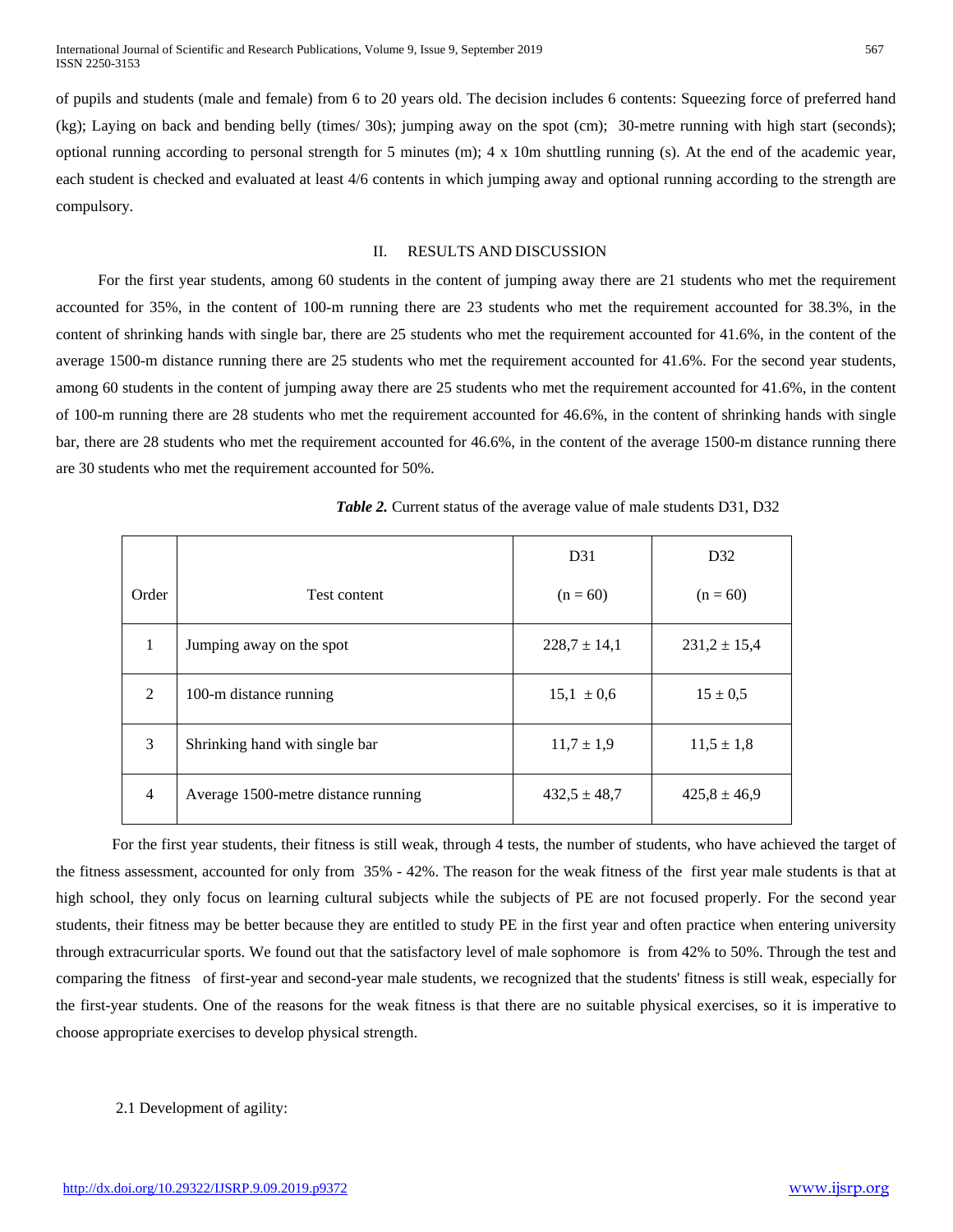of pupils and students (male and female) from 6 to 20 years old. The decision includes 6 contents: Squeezing force of preferred hand (kg); Laying on back and bending belly (times/ 30s); jumping away on the spot (cm); 30-metre running with high start (seconds); optional running according to personal strength for 5 minutes (m); 4 x 10m shuttling running (s). At the end of the academic year, each student is checked and evaluated at least 4/6 contents in which jumping away and optional running according to the strength are compulsory.

### II. RESULTS AND DISCUSSION

For the first year students, among 60 students in the content of jumping away there are 21 students who met the requirement accounted for 35%, in the content of 100-m running there are 23 students who met the requirement accounted for 38.3%, in the content of shrinking hands with single bar, there are 25 students who met the requirement accounted for 41.6%, in the content of the average 1500-m distance running there are 25 students who met the requirement accounted for 41.6%. For the second year students, among 60 students in the content of jumping away there are 25 students who met the requirement accounted for 41.6%, in the content of 100-m running there are 28 students who met the requirement accounted for 46.6%, in the content of shrinking hands with single bar, there are 28 students who met the requirement accounted for 46.6%, in the content of the average 1500-m distance running there are 30 students who met the requirement accounted for 50%.

|       |                                     | D31              | D32              |
|-------|-------------------------------------|------------------|------------------|
| Order | Test content                        | $(n = 60)$       | $(n = 60)$       |
| 1     | Jumping away on the spot            | $228.7 \pm 14.1$ | $231,2 \pm 15,4$ |
| 2     | 100-m distance running              | $15.1 \pm 0.6$   | $15 \pm 0.5$     |
| 3     | Shrinking hand with single bar      | $11,7 \pm 1,9$   | $11,5 \pm 1,8$   |
| 4     | Average 1500-metre distance running | $432.5 \pm 48.7$ | $425.8 \pm 46.9$ |

*Table 2.* Current status of the average value of male students D31, D32

For the first year students, their fitness is still weak, through 4 tests, the number of students, who have achieved the target of the fitness assessment, accounted for only from 35% - 42%. The reason for the weak fitness of the first year male students is that at high school, they only focus on learning cultural subjects while the subjects of PE are not focused properly. For the second year students, their fitness may be better because they are entitled to study PE in the first year and often practice when entering university through extracurricular sports. We found out that the satisfactory level of male sophomore is from 42% to 50%. Through the test and comparing the fitness of first-year and second-year male students, we recognized that the students' fitness is still weak, especially for the first-year students. One of the reasons for the weak fitness is that there are no suitable physical exercises, so it is imperative to choose appropriate exercises to develop physical strength.

## 2.1 Development of agility: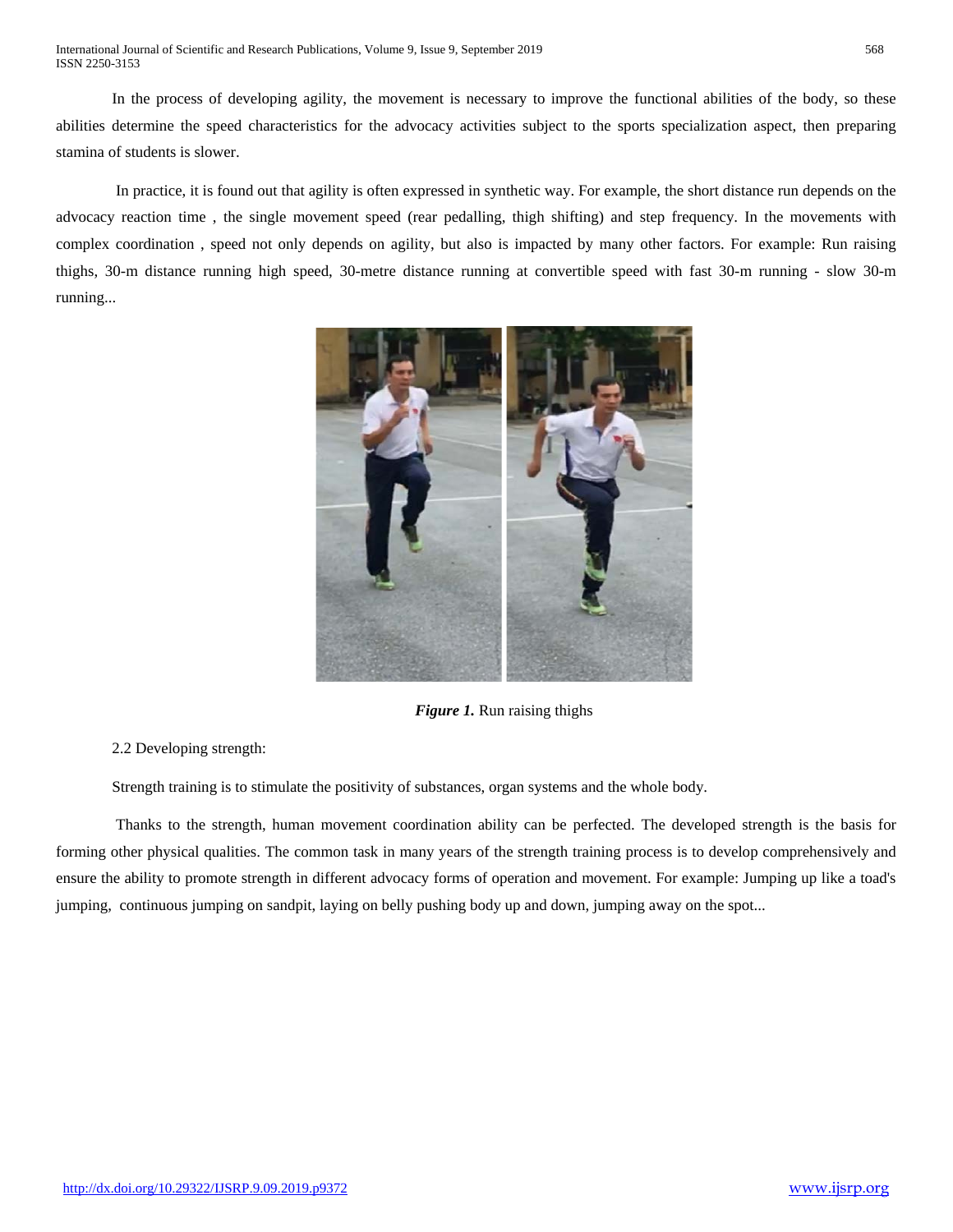In the process of developing agility, the movement is necessary to improve the functional abilities of the body, so these abilities determine the speed characteristics for the advocacy activities subject to the sports specialization aspect, then preparing stamina of students is slower.

In practice, it is found out that agility is often expressed in synthetic way. For example, the short distance run depends on the advocacy reaction time , the single movement speed (rear pedalling, thigh shifting) and step frequency. In the movements with complex coordination , speed not only depends on agility, but also is impacted by many other factors. For example: Run raising thighs, 30-m distance running high speed, 30-metre distance running at convertible speed with fast 30-m running - slow 30-m running...



*Figure 1.* Run raising thighs

2.2 Developing strength:

Strength training is to stimulate the positivity of substances, organ systems and the whole body.

Thanks to the strength, human movement coordination ability can be perfected. The developed strength is the basis for forming other physical qualities. The common task in many years of the strength training process is to develop comprehensively and ensure the ability to promote strength in different advocacy forms of operation and movement. For example: Jumping up like a toad's jumping, continuous jumping on sandpit, laying on belly pushing body up and down, jumping away on the spot...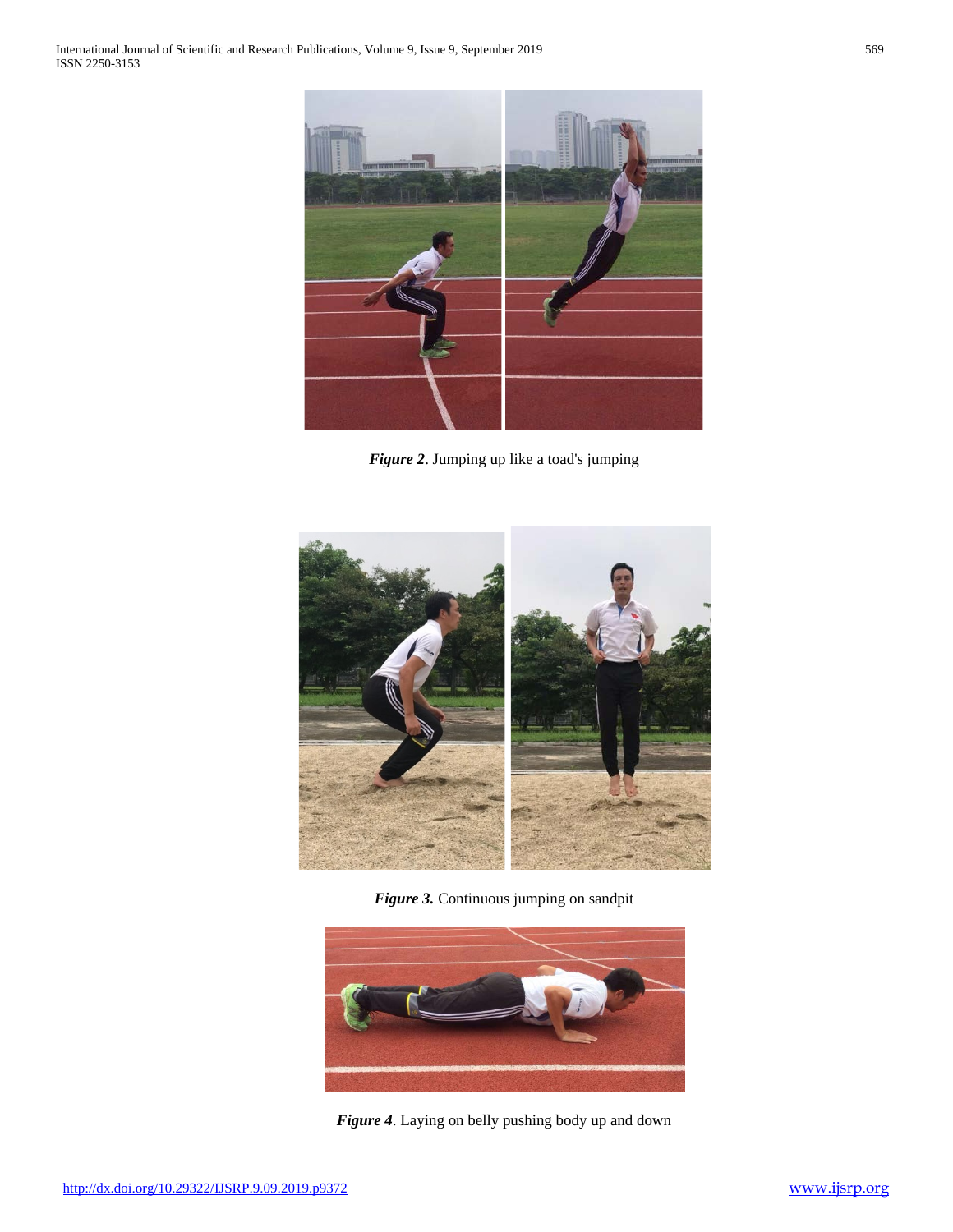

*Figure 2*. Jumping up like a toad's jumping



*Figure 3.* Continuous jumping on sandpit



*Figure 4*. Laying on belly pushing body up and down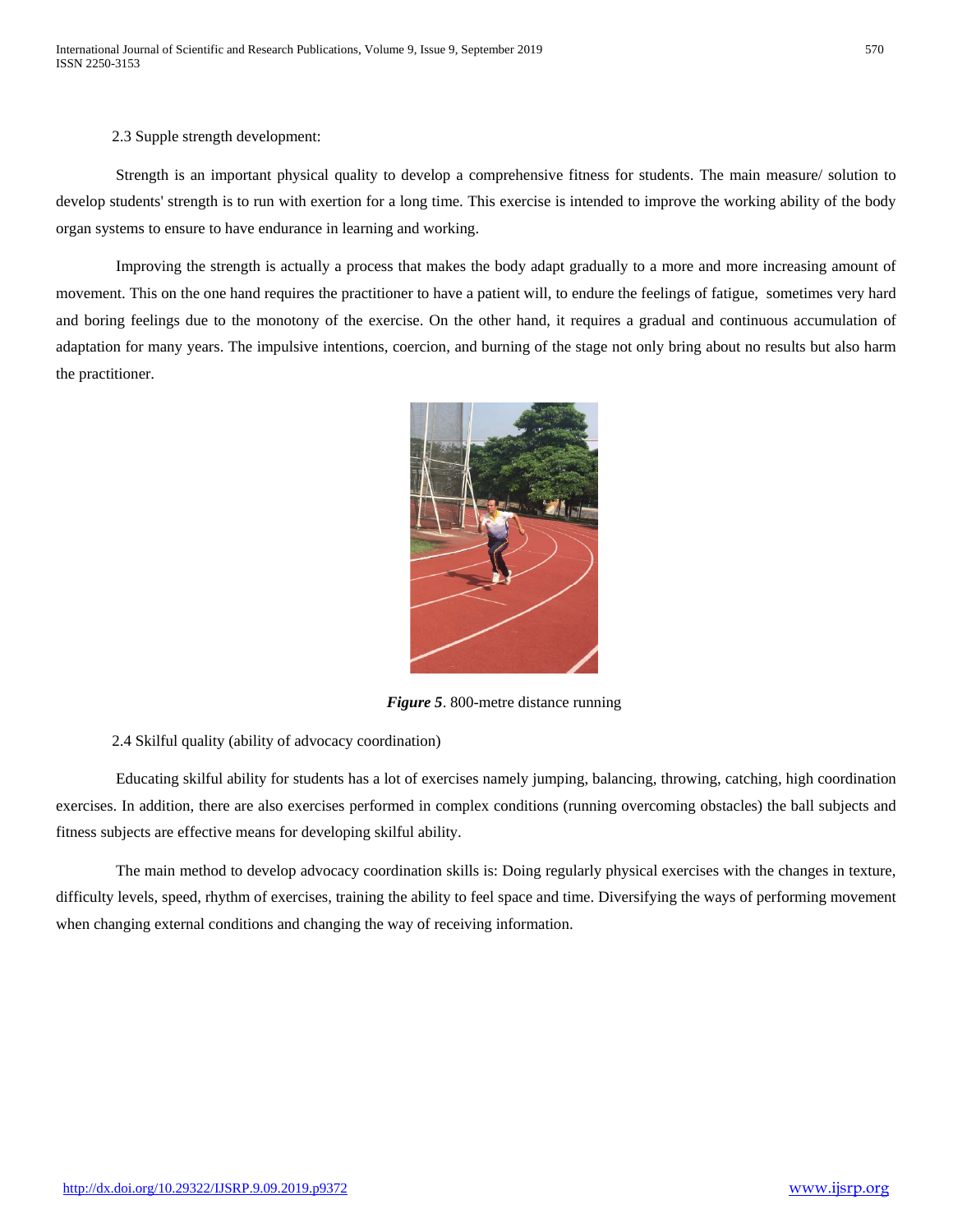2.3 Supple strength development:

Strength is an important physical quality to develop a comprehensive fitness for students. The main measure/ solution to develop students' strength is to run with exertion for a long time. This exercise is intended to improve the working ability of the body organ systems to ensure to have endurance in learning and working.

Improving the strength is actually a process that makes the body adapt gradually to a more and more increasing amount of movement. This on the one hand requires the practitioner to have a patient will, to endure the feelings of fatigue, sometimes very hard and boring feelings due to the monotony of the exercise. On the other hand, it requires a gradual and continuous accumulation of adaptation for many years. The impulsive intentions, coercion, and burning of the stage not only bring about no results but also harm the practitioner.



*Figure 5*. 800-metre distance running

2.4 Skilful quality (ability of advocacy coordination)

Educating skilful ability for students has a lot of exercises namely jumping, balancing, throwing, catching, high coordination exercises. In addition, there are also exercises performed in complex conditions (running overcoming obstacles) the ball subjects and fitness subjects are effective means for developing skilful ability.

The main method to develop advocacy coordination skills is: Doing regularly physical exercises with the changes in texture, difficulty levels, speed, rhythm of exercises, training the ability to feel space and time. Diversifying the ways of performing movement when changing external conditions and changing the way of receiving information.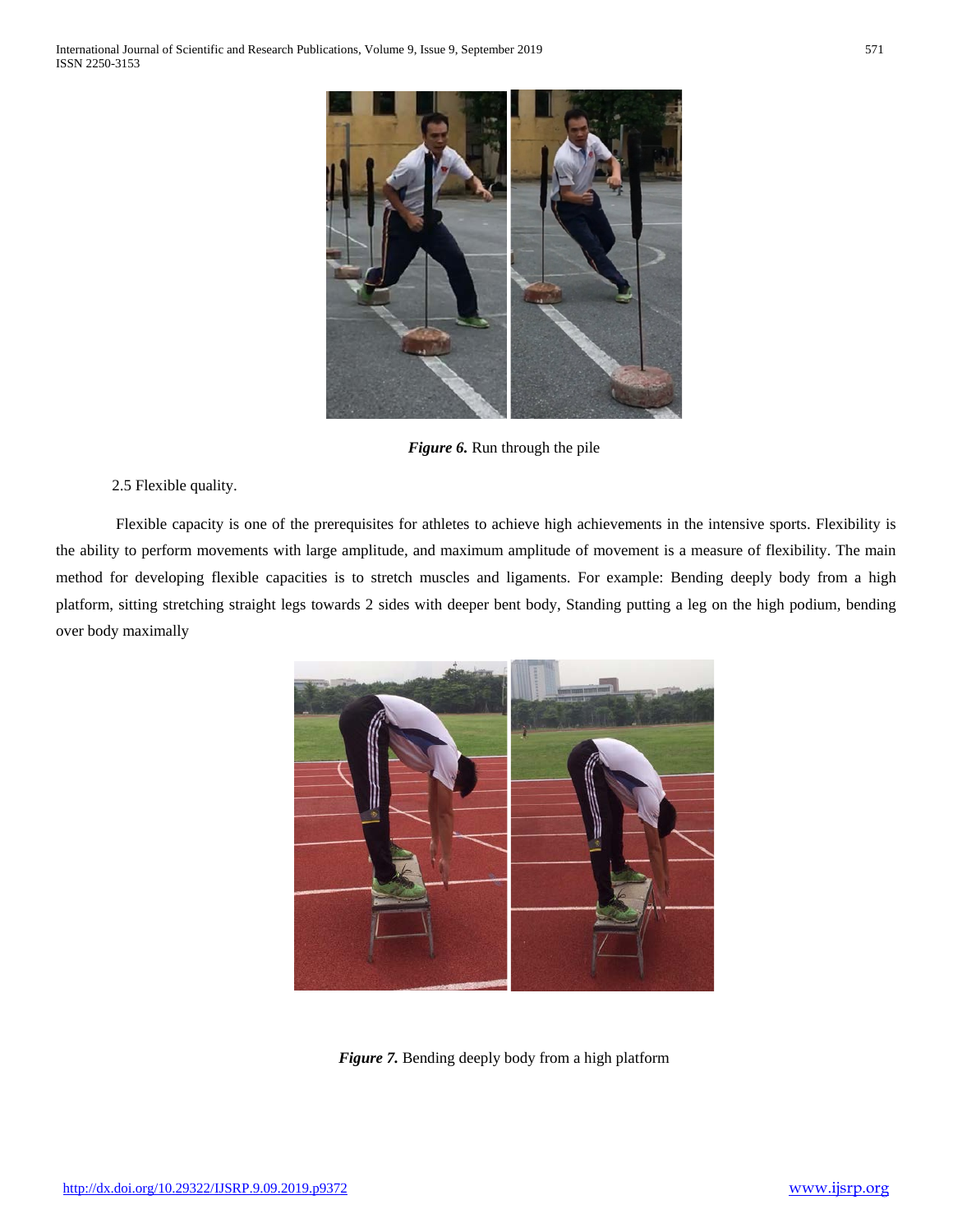

*Figure 6.* Run through the pile

2.5 Flexible quality.

Flexible capacity is one of the prerequisites for athletes to achieve high achievements in the intensive sports. Flexibility is the ability to perform movements with large amplitude, and maximum amplitude of movement is a measure of flexibility. The main method for developing flexible capacities is to stretch muscles and ligaments. For example: Bending deeply body from a high platform, sitting stretching straight legs towards 2 sides with deeper bent body, Standing putting a leg on the high podium, bending over body maximally



*Figure 7.* Bending deeply body from a high platform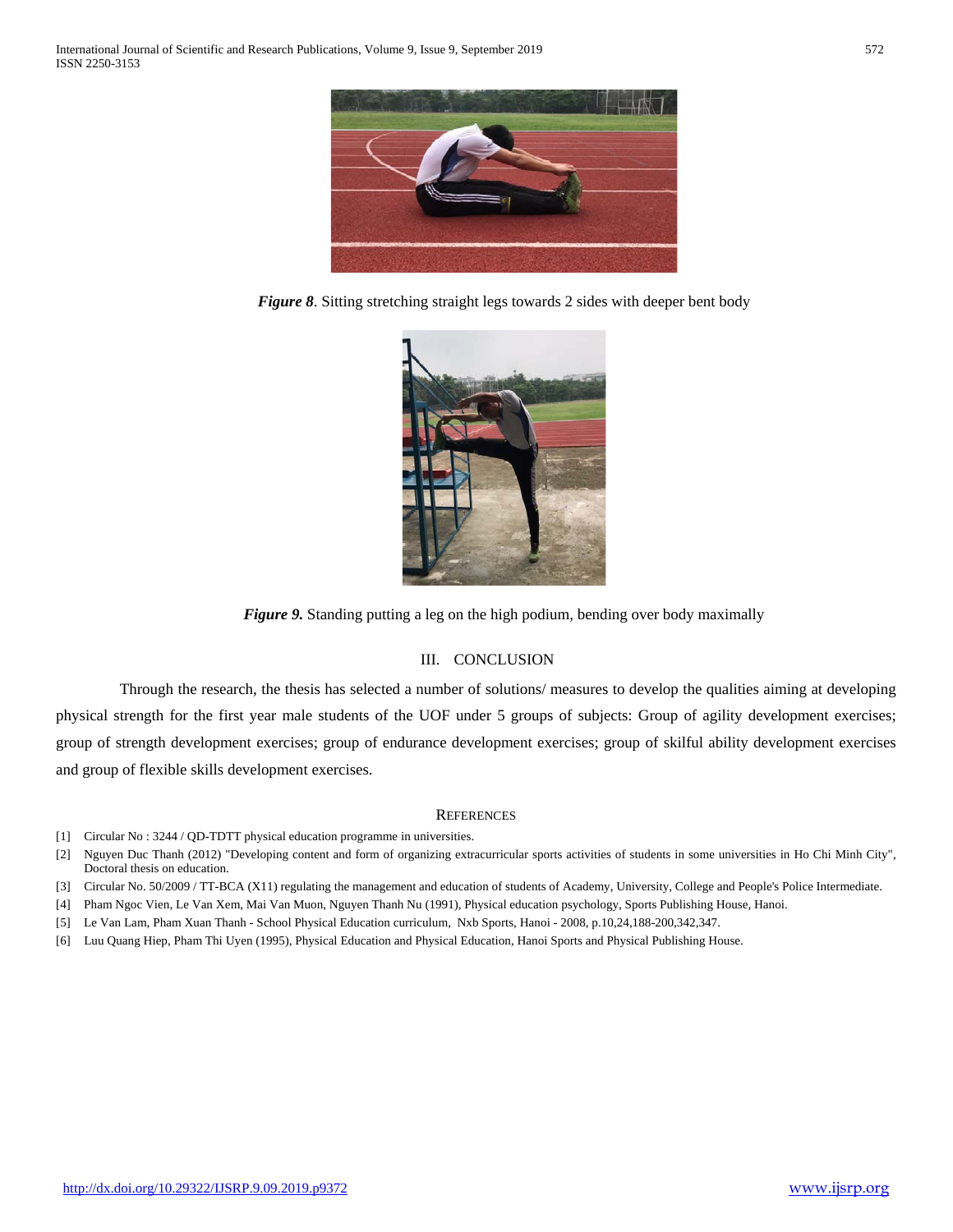

*Figure 8*. Sitting stretching straight legs towards 2 sides with deeper bent body



*Figure 9.* Standing putting a leg on the high podium, bending over body maximally

## III. CONCLUSION

 Through the research, the thesis has selected a number of solutions/ measures to develop the qualities aiming at developing physical strength for the first year male students of the UOF under 5 groups of subjects: Group of agility development exercises; group of strength development exercises; group of endurance development exercises; group of skilful ability development exercises and group of flexible skills development exercises.

#### **REFERENCES**

- [1] Circular No : 3244 / QD-TDTT physical education programme in universities.
- [2] Nguyen Duc Thanh (2012) "Developing content and form of organizing extracurricular sports activities of students in some universities in Ho Chi Minh City", Doctoral thesis on education.
- [3] Circular No. 50/2009 / TT-BCA (X11) regulating the management and education of students of Academy, University, College and People's Police Intermediate.
- [4] Pham Ngoc Vien, Le Van Xem, Mai Van Muon, Nguyen Thanh Nu (1991), Physical education psychology, Sports Publishing House, Hanoi.
- [5] Le Van Lam, Pham Xuan Thanh School Physical Education curriculum, Nxb Sports, Hanoi 2008, p.10,24,188-200,342,347.
- [6] Luu Quang Hiep, Pham Thi Uyen (1995), Physical Education and Physical Education, Hanoi Sports and Physical Publishing House.